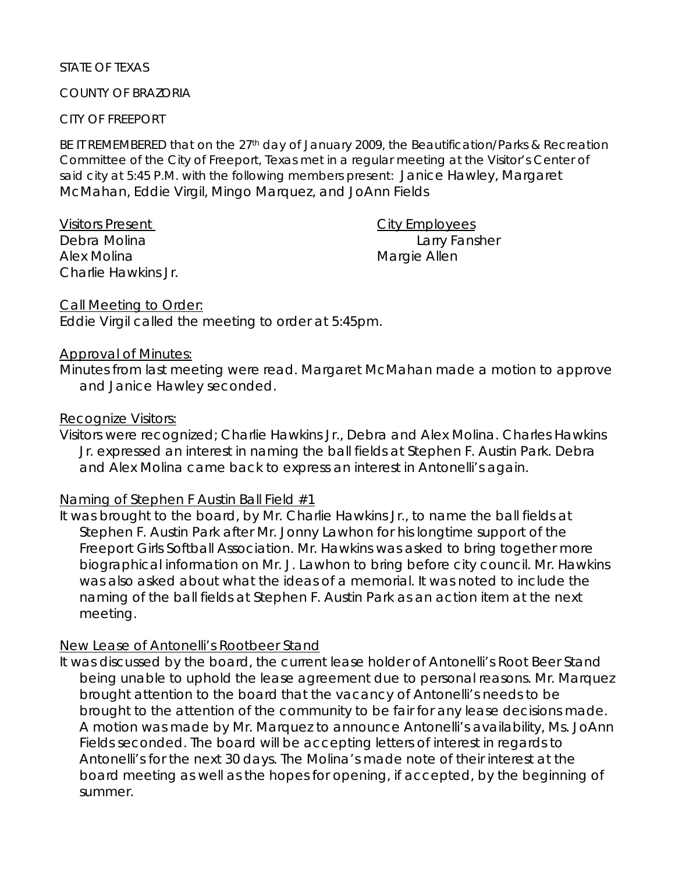### STATE OF TEXAS

### COUNTY OF BRAZORIA

### CITY OF FREEPORT

BE IT REMEMBERED that on the 27<sup>th</sup> day of January 2009, the Beautification/Parks & Recreation Committee of the City of Freeport, Texas met in a regular meeting at the Visitor's Center of said city at 5:45 P.M. with the following members present: Janice Hawley, Margaret McMahan, Eddie Virgil, Mingo Marquez, and JoAnn Fields

| <b>Visitors Present</b> |
|-------------------------|
| Debra Molina            |
| Alex Molina             |
| Charlie Hawkins Jr.     |

City Employees Larry Fansher Margie Allen

Call Meeting to Order:

Eddie Virgil called the meeting to order at 5:45pm.

### Approval of Minutes:

Minutes from last meeting were read. Margaret McMahan made a motion to approve and Janice Hawley seconded.

### Recognize Visitors:

Visitors were recognized; Charlie Hawkins Jr., Debra and Alex Molina. Charles Hawkins Jr. expressed an interest in naming the ball fields at Stephen F. Austin Park. Debra and Alex Molina came back to express an interest in Antonelli's again.

## Naming of Stephen F Austin Ball Field #1

It was brought to the board, by Mr. Charlie Hawkins Jr., to name the ball fields at Stephen F. Austin Park after Mr. Jonny Lawhon for his longtime support of the Freeport Girls Softball Association. Mr. Hawkins was asked to bring together more biographical information on Mr. J. Lawhon to bring before city council. Mr. Hawkins was also asked about what the ideas of a memorial. It was noted to include the naming of the ball fields at Stephen F. Austin Park as an action item at the next meeting.

## New Lease of Antonelli's Rootbeer Stand

It was discussed by the board, the current lease holder of Antonelli's Root Beer Stand being unable to uphold the lease agreement due to personal reasons. Mr. Marquez brought attention to the board that the vacancy of Antonelli's needs to be brought to the attention of the community to be fair for any lease decisions made. A motion was made by Mr. Marquez to announce Antonelli's availability, Ms. JoAnn Fields seconded. The board will be accepting letters of interest in regards to Antonelli's for the next 30 days. The Molina's made note of their interest at the board meeting as well as the hopes for opening, if accepted, by the beginning of summer.